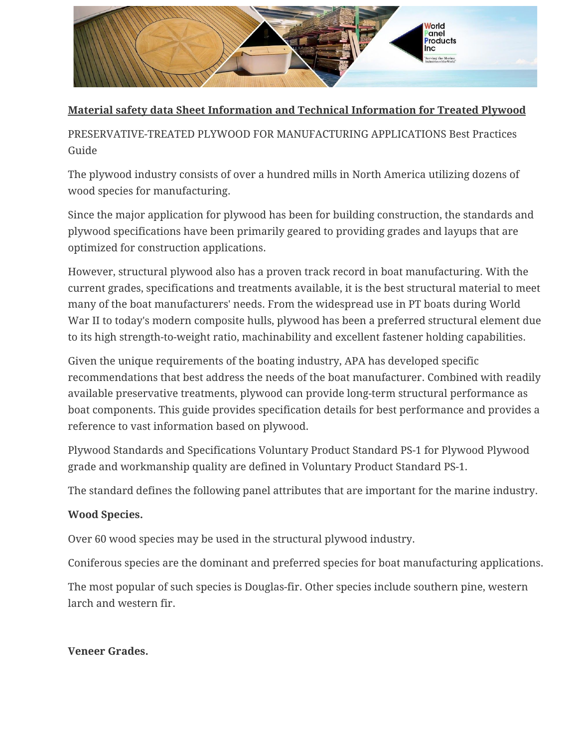

## **Material safety data Sheet Information and Technical Information for Treated Plywood**

PRESERVATIVE-TREATED PLYWOOD FOR MANUFACTURING APPLICATIONS Best Practices Guide

The plywood industry consists of over a hundred mills in North America utilizing dozens of wood species for manufacturing.

Since the major application for plywood has been for building construction, the standards and plywood specifications have been primarily geared to providing grades and layups that are optimized for construction applications.

However, structural plywood also has a proven track record in boat manufacturing. With the current grades, specifications and treatments available, it is the best structural material to meet many of the boat manufacturers' needs. From the widespread use in PT boats during World War II to today's modern composite hulls, plywood has been a preferred structural element due to its high strength-to-weight ratio, machinability and excellent fastener holding capabilities.

Given the unique requirements of the boating industry, APA has developed specific recommendations that best address the needs of the boat manufacturer. Combined with readily available preservative treatments, plywood can provide long-term structural performance as boat components. This guide provides specification details for best performance and provides a reference to vast information based on plywood.

Plywood Standards and Specifications Voluntary Product Standard PS-1 for Plywood Plywood grade and workmanship quality are defined in Voluntary Product Standard PS-1.

The standard defines the following panel attributes that are important for the marine industry.

### **Wood Species.**

Over 60 wood species may be used in the structural plywood industry.

Coniferous species are the dominant and preferred species for boat manufacturing applications.

The most popular of such species is Douglas-fir. Other species include southern pine, western larch and western fir.

#### **Veneer Grades.**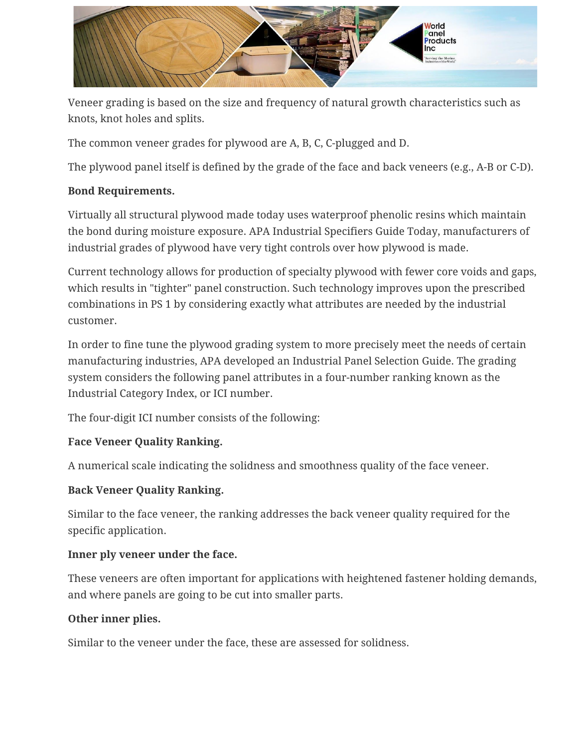

Veneer grading is based on the size and frequency of natural growth characteristics such as knots, knot holes and splits.

The common veneer grades for plywood are A, B, C, C-plugged and D.

The plywood panel itself is defined by the grade of the face and back veneers (e.g., A-B or C-D).

### **Bond Requirements.**

Virtually all structural plywood made today uses waterproof phenolic resins which maintain the bond during moisture exposure. APA Industrial Specifiers Guide Today, manufacturers of industrial grades of plywood have very tight controls over how plywood is made.

Current technology allows for production of specialty plywood with fewer core voids and gaps, which results in "tighter" panel construction. Such technology improves upon the prescribed combinations in PS 1 by considering exactly what attributes are needed by the industrial customer.

In order to fine tune the plywood grading system to more precisely meet the needs of certain manufacturing industries, APA developed an Industrial Panel Selection Guide. The grading system considers the following panel attributes in a four-number ranking known as the Industrial Category Index, or ICI number.

The four-digit ICI number consists of the following:

### **Face Veneer Quality Ranking.**

A numerical scale indicating the solidness and smoothness quality of the face veneer.

#### **Back Veneer Quality Ranking.**

Similar to the face veneer, the ranking addresses the back veneer quality required for the specific application.

#### **Inner ply veneer under the face.**

These veneers are often important for applications with heightened fastener holding demands, and where panels are going to be cut into smaller parts.

#### **Other inner plies.**

Similar to the veneer under the face, these are assessed for solidness.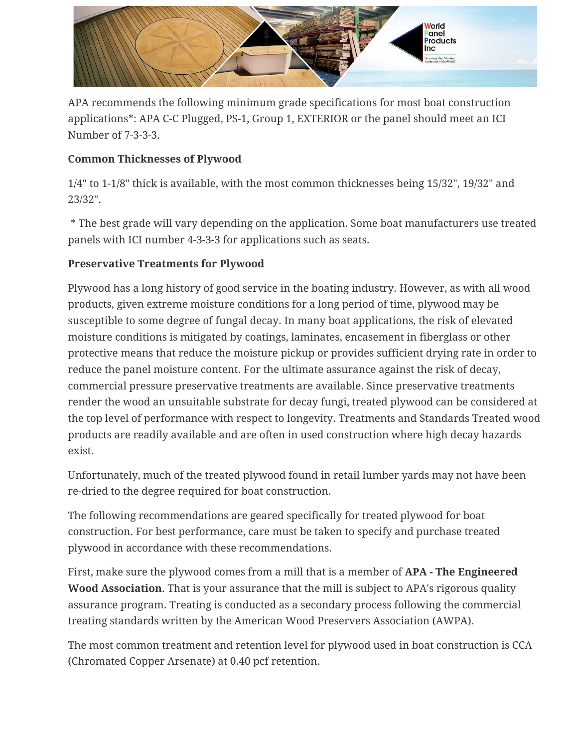

APA recommends the following minimum grade specifications for most boat construction applications\*: APA C-C Plugged, PS-1, Group 1, EXTERIOR or the panel should meet an ICI Number of 7-3-3-3.

## **Common Thicknesses of Plywood**

1/4" to 1-1/8" thick is available, with the most common thicknesses being 15/32", 19/32" and 23/32".

\* The best grade will vary depending on the application. Some boat manufacturers use treated panels with ICI number 4-3-3-3 for applications such as seats.

## **Preservative Treatments for Plywood**

Plywood has a long history of good service in the boating industry. However, as with all wood products, given extreme moisture conditions for a long period of time, plywood may be susceptible to some degree of fungal decay. In many boat applications, the risk of elevated moisture conditions is mitigated by coatings, laminates, encasement in fiberglass or other protective means that reduce the moisture pickup or provides sufficient drying rate in order to reduce the panel moisture content. For the ultimate assurance against the risk of decay, commercial pressure preservative treatments are available. Since preservative treatments render the wood an unsuitable substrate for decay fungi, treated plywood can be considered at the top level of performance with respect to longevity. Treatments and Standards Treated wood products are readily available and are often in used construction where high decay hazards exist.

Unfortunately, much of the treated plywood found in retail lumber yards may not have been re-dried to the degree required for boat construction.

The following recommendations are geared specifically for treated plywood for boat construction. For best performance, care must be taken to specify and purchase treated plywood in accordance with these recommendations.

First, make sure the plywood comes from a mill that is a member of **APA - The Engineered Wood Association**. That is your assurance that the mill is subject to APA's rigorous quality assurance program. Treating is conducted as a secondary process following the commercial treating standards written by the American Wood Preservers Association (AWPA).

The most common treatment and retention level for plywood used in boat construction is CCA (Chromated Copper Arsenate) at 0.40 pcf retention.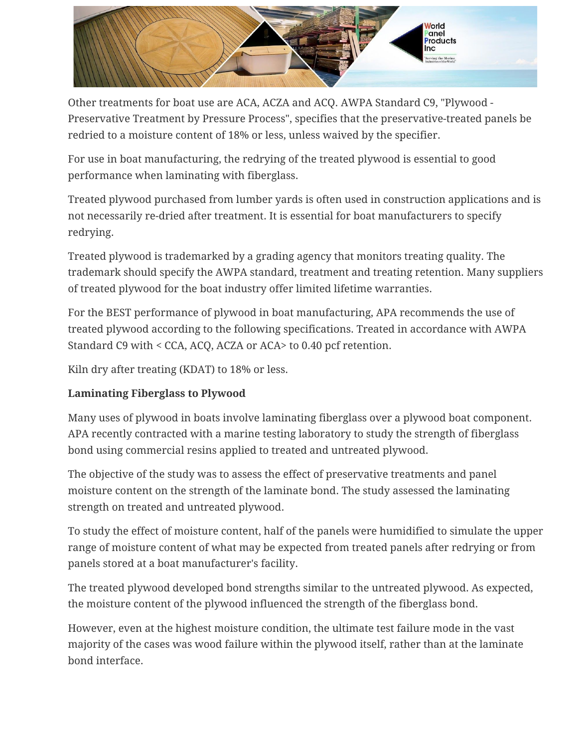

Other treatments for boat use are ACA, ACZA and ACQ. AWPA Standard C9, "Plywood - Preservative Treatment by Pressure Process", specifies that the preservative-treated panels be redried to a moisture content of 18% or less, unless waived by the specifier.

For use in boat manufacturing, the redrying of the treated plywood is essential to good performance when laminating with fiberglass.

Treated plywood purchased from lumber yards is often used in construction applications and is not necessarily re-dried after treatment. It is essential for boat manufacturers to specify redrying.

Treated plywood is trademarked by a grading agency that monitors treating quality. The trademark should specify the AWPA standard, treatment and treating retention. Many suppliers of treated plywood for the boat industry offer limited lifetime warranties.

For the BEST performance of plywood in boat manufacturing, APA recommends the use of treated plywood according to the following specifications. Treated in accordance with AWPA Standard C9 with < CCA, ACQ, ACZA or ACA> to 0.40 pcf retention.

Kiln dry after treating (KDAT) to 18% or less.

# **Laminating Fiberglass to Plywood**

Many uses of plywood in boats involve laminating fiberglass over a plywood boat component. APA recently contracted with a marine testing laboratory to study the strength of fiberglass bond using commercial resins applied to treated and untreated plywood.

The objective of the study was to assess the effect of preservative treatments and panel moisture content on the strength of the laminate bond. The study assessed the laminating strength on treated and untreated plywood.

To study the effect of moisture content, half of the panels were humidified to simulate the upper range of moisture content of what may be expected from treated panels after redrying or from panels stored at a boat manufacturer's facility.

The treated plywood developed bond strengths similar to the untreated plywood. As expected, the moisture content of the plywood influenced the strength of the fiberglass bond.

However, even at the highest moisture condition, the ultimate test failure mode in the vast majority of the cases was wood failure within the plywood itself, rather than at the laminate bond interface.